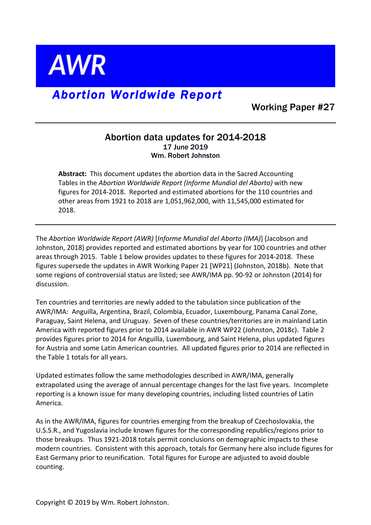**AWR** 

## *Abortion Worldwide Report*

Working Paper #27

## Abortion data updates for 2014-2018 17 June 2019 Wm. Robert Johnston

Abstract: This document updates the abortion data in the Sacred Accounting Tables in the *Abortion Worldwide Report (Informe Mundial del Aborto)* with new figures for 2014-2018. Reported and estimated abortions for the 110 countries and other areas from 1921 to 2018 are 1,051,962,000, with 11,545,000 estimated for 2018.

The Abortion Worldwide Report (AWR) [Informe Mundial del Aborto (IMA)] (Jacobson and Johnston, 2018) provides reported and estimated abortions by year for 100 countries and other areas through 2015. Table 1 below provides updates to these figures for 2014-2018. These figures supersede the updates in AWR Working Paper 21 [WP21] (Johnston, 2018b). Note that some regions of controversial status are listed; see AWR/IMA pp. 90-92 or Johnston (2014) for discussion.

Ten countries and territories are newly added to the tabulation since publication of the AWR/IMA: Anguilla, Argentina, Brazil, Colombia, Ecuador, Luxembourg, Panama Canal Zone, Paraguay, Saint Helena, and Uruguay. Seven of these countries/territories are in mainland Latin America with reported figures prior to 2014 available in AWR WP22 (Johnston, 2018c). Table 2 provides figures prior to 2014 for Anguilla, Luxembourg, and Saint Helena, plus updated figures for Austria and some Latin American countries. All updated figures prior to 2014 are reflected in the Table 1 totals for all years.

Updated estimates follow the same methodologies described in AWR/IMA, generally extrapolated using the average of annual percentage changes for the last five years. Incomplete reporting is a known issue for many developing countries, including listed countries of Latin America. 

As in the AWR/IMA, figures for countries emerging from the breakup of Czechoslovakia, the U.S.S.R., and Yugoslavia include known figures for the corresponding republics/regions prior to those breakups. Thus 1921-2018 totals permit conclusions on demographic impacts to these modern countries. Consistent with this approach, totals for Germany here also include figures for East Germany prior to reunification. Total figures for Europe are adjusted to avoid double counting. 

Copyright  $\odot$  2019 by Wm. Robert Johnston.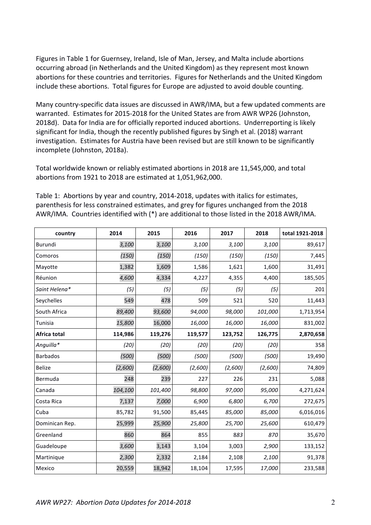Figures in Table 1 for Guernsey, Ireland, Isle of Man, Jersey, and Malta include abortions occurring abroad (in Netherlands and the United Kingdom) as they represent most known abortions for these countries and territories. Figures for Netherlands and the United Kingdom include these abortions. Total figures for Europe are adjusted to avoid double counting.

Many country-specific data issues are discussed in AWR/IMA, but a few updated comments are warranted. Estimates for 2015-2018 for the United States are from AWR WP26 (Johnston, 2018d). Data for India are for officially reported induced abortions. Underreporting is likely significant for India, though the recently published figures by Singh et al. (2018) warrant investigation. Estimates for Austria have been revised but are still known to be significantly incomplete (Johnston, 2018a).

Total worldwide known or reliably estimated abortions in 2018 are 11,545,000, and total abortions from 1921 to 2018 are estimated at 1,051,962,000.

Table 1: Abortions by year and country, 2014-2018, updates with italics for estimates, parenthesis for less constrained estimates, and grey for figures unchanged from the 2018 AWR/IMA. Countries identified with (\*) are additional to those listed in the 2018 AWR/IMA.

| country         | 2014    | 2015    | 2016    | 2017    | 2018    | total 1921-2018 |
|-----------------|---------|---------|---------|---------|---------|-----------------|
| Burundi         | 3,100   | 3,100   | 3,100   | 3,100   | 3,100   | 89,617          |
| Comoros         | (150)   | (150)   | (150)   | (150)   | (150)   | 7,445           |
| Mayotte         | 1,382   | 1,609   | 1,586   | 1,621   | 1,600   | 31,491          |
| Réunion         | 4,600   | 4,334   | 4,227   | 4,355   | 4,400   | 185,505         |
| Saint Helena*   | (5)     | (5)     | (5)     | (5)     | (5)     | 201             |
| Seychelles      | 549     | 478     | 509     | 521     | 520     | 11,443          |
| South Africa    | 89,400  | 93,600  | 94,000  | 98,000  | 101,000 | 1,713,954       |
| Tunisia         | 15,800  | 16,000  | 16,000  | 16,000  | 16,000  | 831,002         |
| Africa total    | 114,986 | 119,276 | 119,577 | 123,752 | 126,775 | 2,870,658       |
| Anguilla*       | (20)    | (20)    | (20)    | (20)    | (20)    | 358             |
| <b>Barbados</b> | (500)   | (500)   | (500)   | (500)   | (500)   | 19,490          |
| <b>Belize</b>   | (2,600) | (2,600) | (2,600) | (2,600) | (2,600) | 74,809          |
| Bermuda         | 248     | 239     | 227     | 226     | 231     | 5,088           |
| Canada          | 104,100 | 101,400 | 98,800  | 97,000  | 95,000  | 4,271,624       |
| Costa Rica      | 7,137   | 7,000   | 6,900   | 6,800   | 6,700   | 272,675         |
| Cuba            | 85,782  | 91,500  | 85,445  | 85,000  | 85,000  | 6,016,016       |
| Dominican Rep.  | 25,999  | 25,900  | 25,800  | 25,700  | 25,600  | 610,479         |
| Greenland       | 860     | 864     | 855     | 883     | 870     | 35,670          |
| Guadeloupe      | 3,600   | 3,143   | 3,104   | 3,003   | 2,900   | 133,152         |
| Martinique      | 2,300   | 2,332   | 2,184   | 2,108   | 2,100   | 91,378          |
| Mexico          | 20,559  | 18,942  | 18,104  | 17,595  | 17,000  | 233,588         |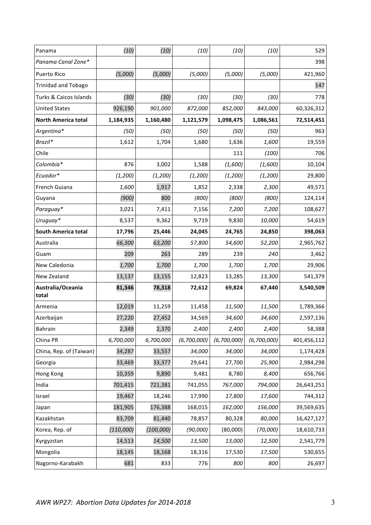| Panama                     | (10)      | (10)       | (10)        | (10)        | (10)        | 529         |
|----------------------------|-----------|------------|-------------|-------------|-------------|-------------|
| Panama Canal Zone*         |           |            |             |             |             | 398         |
| Puerto Rico                | (5,000)   | (5,000)    | (5,000)     | (5,000)     | (5,000)     | 421,960     |
| <b>Trinidad and Tobago</b> |           |            |             |             |             | 147         |
| Turks & Caicos Islands     | (30)      | (30)       | (30)        | (30)        | (30)        | 778         |
| <b>United States</b>       | 926,190   | 901,000    | 872,000     | 852,000     | 843,000     | 60,326,312  |
| <b>North America total</b> | 1,184,935 | 1,160,480  | 1,121,579   | 1,098,475   | 1,086,561   | 72,514,451  |
| Argentina*                 | (50)      | (50)       | (50)        | (50)        | (50)        | 963         |
| Brazil*                    | 1,612     | 1,704      | 1,680       | 1,636       | 1,600       | 19,559      |
| Chile                      |           |            |             | 111         | (100)       | 706         |
| Colombia*                  | 876       | 3,002      | 1,588       | (1,600)     | (1,600)     | 10,104      |
| Ecuador*                   | (1,200)   | (1, 200)   | (1, 200)    | (1, 200)    | (1, 200)    | 29,800      |
| French Guiana              | 1,600     | 1,917      | 1,852       | 2,338       | 2,300       | 49,571      |
| Guyana                     | (900)     | 800        | (800)       | (800)       | (800)       | 124,114     |
| Paraguay*                  | 3,021     | 7,411      | 7,156       | 7,200       | 7,200       | 108,627     |
| Uruguay*                   | 8,537     | 9,362      | 9,719       | 9,830       | 10,000      | 54,619      |
| <b>South America total</b> | 17,796    | 25,446     | 24,045      | 24,765      | 24,850      | 398,063     |
| Australia                  | 66,300    | 63,200     | 57,800      | 54,600      | 52,200      | 2,965,762   |
| Guam                       | 209       | 263        | 289         | 239         | 240         | 3,462       |
| New Caledonia              | 1,700     | 1,700      | 1,700       | 1,700       | 1,700       | 29,906      |
| New Zealand                | 13,137    | 13,155     | 12,823      | 13,285      | 13,300      | 541,379     |
| Australia/Oceania<br>total | 81,346    | 78,318     | 72,612      | 69,824      | 67,440      | 3,540,509   |
| Armenia                    | 12,019    | 11,259     | 11,458      | 11,500      | 11,500      | 1,789,366   |
| Azerbaijan                 | 27,220    | 27,452     | 34,569      | 34,600      | 34,600      | 2,597,136   |
| <b>Bahrain</b>             | 2,349     | 2,370      | 2,400       | 2,400       | 2,400       | 58,388      |
| China PR                   | 6,700,000 | 6,700,000  | (6,700,000) | (6,700,000) | (6,700,000) | 401,456,112 |
| China, Rep. of (Taiwan)    | 34,287    | 33,557     | 34,000      | 34,000      | 34,000      | 1,174,428   |
| Georgia                    | 33,469    | 33,377     | 29,641      | 27,700      | 25,900      | 2,984,298   |
| Hong Kong                  | 10,359    | 9,890      | 9,481       | 8,780       | 8,400       | 656,766     |
| India                      | 701,415   | 721,381    | 741,055     | 767,000     | 794,000     | 26,643,251  |
| Israel                     | 19,467    | 18,246     | 17,990      | 17,800      | 17,600      | 744,312     |
| Japan                      | 181,905   | 176,388    | 168,015     | 162,000     | 156,000     | 39,569,635  |
| Kazakhstan                 | 83,709    | 81,440     | 78,857      | 80,328      | 80,000      | 16,427,127  |
| Korea, Rep. of             | (110,000) | (100, 000) | (90,000)    | (80,000)    | (70,000)    | 18,610,733  |
| Kyrgyzstan                 | 14,513    | 14,500     | 13,500      | 13,000      | 12,500      | 2,541,779   |
| Mongolia                   | 18,145    | 18,168     | 18,316      | 17,530      | 17,500      | 530,655     |
| Nagorno-Karabakh           | 681       | 833        | 776         | 800         | 800         | 26,697      |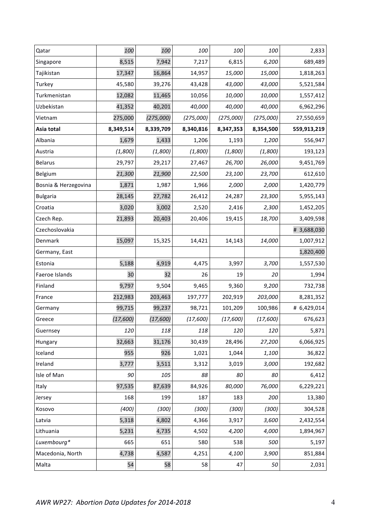| Qatar                | 100       | 100       | 100       | 100       | 100       | 2,833       |
|----------------------|-----------|-----------|-----------|-----------|-----------|-------------|
| Singapore            | 8,515     | 7,942     | 7,217     | 6,815     | 6,200     | 689,489     |
| Tajikistan           | 17,347    | 16,864    | 14,957    | 15,000    | 15,000    | 1,818,263   |
| Turkey               | 45,580    | 39,276    | 43,428    | 43,000    | 43,000    | 5,521,584   |
| Turkmenistan         | 12,082    | 11,465    | 10,056    | 10,000    | 10,000    | 1,557,412   |
| Uzbekistan           | 41,352    | 40,201    | 40,000    | 40,000    | 40,000    | 6,962,296   |
| Vietnam              | 275,000   | (275,000) | (275,000) | (275,000) | (275,000) | 27,550,659  |
| Asia total           | 8,349,514 | 8,339,709 | 8,340,816 | 8,347,353 | 8,354,500 | 559,913,219 |
| Albania              | 1,679     | 1,433     | 1,206     | 1,193     | 1,200     | 556,947     |
| Austria              | (1,800)   | (1,800)   | (1,800)   | (1,800)   | (1,800)   | 193,123     |
| <b>Belarus</b>       | 29,797    | 29,217    | 27,467    | 26,700    | 26,000    | 9,451,769   |
| Belgium              | 21,300    | 21,900    | 22,500    | 23,100    | 23,700    | 612,610     |
| Bosnia & Herzegovina | 1,871     | 1,987     | 1,966     | 2,000     | 2,000     | 1,420,779   |
| <b>Bulgaria</b>      | 28,145    | 27,782    | 26,412    | 24,287    | 23,300    | 5,955,143   |
| Croatia              | 3,020     | 3,002     | 2,520     | 2,416     | 2,300     | 1,452,205   |
| Czech Rep.           | 21,893    | 20,403    | 20,406    | 19,415    | 18,700    | 3,409,598   |
| Czechoslovakia       |           |           |           |           |           | # 3,688,030 |
| Denmark              | 15,097    | 15,325    | 14,421    | 14,143    | 14,000    | 1,007,912   |
| Germany, East        |           |           |           |           |           | 1,820,400   |
| Estonia              | 5,188     | 4,919     | 4,475     | 3,997     | 3,700     | 1,557,530   |
| Faeroe Islands       | 30        | 32        | 26        | 19        | 20        | 1,994       |
| Finland              | 9,797     | 9,504     | 9,465     | 9,360     | 9,200     | 732,738     |
| France               | 212,983   | 203,463   | 197,777   | 202,919   | 203,000   | 8,281,352   |
| Germany              | 99,715    | 99,237    | 98,721    | 101,209   | 100,986   | # 6,429,014 |
| Greece               | (17,600)  | (17,600)  | (17,600)  | (17,600)  | (17,600)  | 676,623     |
| Guernsey             | 120       | 118       | 118       | 120       | 120       | 5,871       |
| Hungary              | 32,663    | 31,176    | 30,439    | 28,496    | 27,200    | 6,066,925   |
| Iceland              | 955       | 926       | 1,021     | 1,044     | 1,100     | 36,822      |
| Ireland              | 3,777     | 3,511     | 3,312     | 3,019     | 3,000     | 192,682     |
| Isle of Man          | 90        | 105       | 88        | 80        | 80        | 6,412       |
| Italy                | 97,535    | 87,639    | 84,926    | 80,000    | 76,000    | 6,229,221   |
| Jersey               | 168       | 199       | 187       | 183       | 200       | 13,380      |
| Kosovo               | (400)     | (300)     | (300)     | (300)     | (300)     | 304,528     |
| Latvia               | 5,318     | 4,802     | 4,366     | 3,917     | 3,600     | 2,432,554   |
| Lithuania            | 5,231     | 4,735     | 4,502     | 4,200     | 4,000     | 1,894,967   |
| Luxembourg*          | 665       | 651       | 580       | 538       | 500       | 5,197       |
| Macedonia, North     | 4,738     | 4,587     | 4,251     | 4,100     | 3,900     | 851,884     |
| Malta                | 54        | 58        | 58        | 47        | 50        | 2,031       |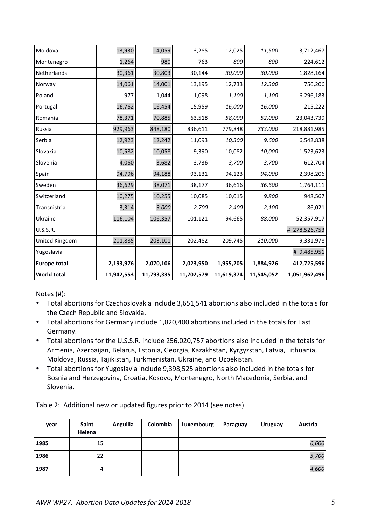| <b>World total</b>  | 11,942,553 | 11,793,335 | 11,702,579 | 11,619,374 | 11,545,052 | 1,051,962,496 |
|---------------------|------------|------------|------------|------------|------------|---------------|
| <b>Europe total</b> | 2,193,976  | 2,070,106  | 2,023,950  | 1,955,205  | 1,884,926  | 412,725,596   |
| Yugoslavia          |            |            |            |            |            | # 9,485,951   |
| United Kingdom      | 201,885    | 203,101    | 202,482    | 209,745    | 210,000    | 9,331,978     |
| <b>U.S.S.R.</b>     |            |            |            |            |            | # 278,526,753 |
| Ukraine             | 116,104    | 106,357    | 101,121    | 94,665     | 88,000     | 52,357,917    |
| Transnistria        | 3,314      | 3,000      | 2,700      | 2,400      | 2,100      | 86,021        |
| Switzerland         | 10,275     | 10,255     | 10,085     | 10,015     | 9,800      | 948,567       |
| Sweden              | 36,629     | 38,071     | 38,177     | 36,616     | 36,600     | 1,764,111     |
| Spain               | 94,796     | 94,188     | 93,131     | 94,123     | 94,000     | 2,398,206     |
| Slovenia            | 4,060      | 3,682      | 3,736      | 3,700      | 3,700      | 612,704       |
| Slovakia            | 10,582     | 10,058     | 9,390      | 10,082     | 10,000     | 1,523,623     |
| Serbia              | 12,923     | 12,242     | 11,093     | 10,300     | 9,600      | 6,542,838     |
| Russia              | 929,963    | 848,180    | 836,611    | 779,848    | 733,000    | 218,881,985   |
| Romania             | 78,371     | 70,885     | 63,518     | 58,000     | 52,000     | 23,043,739    |
| Portugal            | 16,762     | 16,454     | 15,959     | 16,000     | 16,000     | 215,222       |
| Poland              | 977        | 1,044      | 1,098      | 1,100      | 1,100      | 6,296,183     |
| Norway              | 14,061     | 14,001     | 13,195     | 12,733     | 12,300     | 756,206       |
| Netherlands         | 30,361     | 30,803     | 30,144     | 30,000     | 30,000     | 1,828,164     |
| Montenegro          | 1,264      | 980        | 763        | 800        | 800        | 224,612       |
| Moldova             | 13,930     | 14,059     | 13,285     | 12,025     | 11,500     | 3,712,467     |

Notes  $(H)$ :

- Total abortions for Czechoslovakia include 3,651,541 abortions also included in the totals for the Czech Republic and Slovakia.
- Total abortions for Germany include 1,820,400 abortions included in the totals for East Germany.
- Total abortions for the U.S.S.R. include 256,020,757 abortions also included in the totals for Armenia, Azerbaijan, Belarus, Estonia, Georgia, Kazakhstan, Kyrgyzstan, Latvia, Lithuania, Moldova, Russia, Tajikistan, Turkmenistan, Ukraine, and Uzbekistan.
- Total abortions for Yugoslavia include 9,398,525 abortions also included in the totals for Bosnia and Herzegovina, Croatia, Kosovo, Montenegro, North Macedonia, Serbia, and Slovenia.

Table 2: Additional new or updated figures prior to 2014 (see notes)

| year | Saint<br>Helena | Anguilla | Colombia | Luxembourg | Paraguay | <b>Uruguay</b> | Austria |
|------|-----------------|----------|----------|------------|----------|----------------|---------|
| 1985 | 15              |          |          |            |          |                | 6,600   |
| 1986 | 22              |          |          |            |          |                | 5,700   |
| 1987 | 4               |          |          |            |          |                | 4,600   |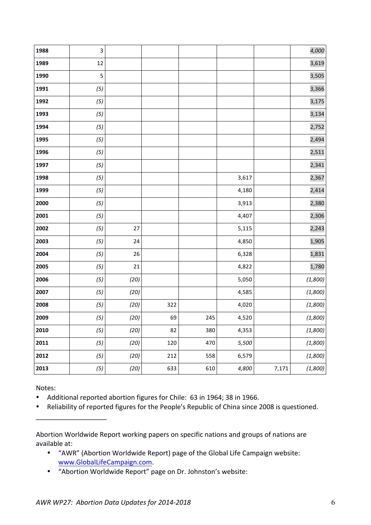| 1988 | 3   |      |     |     |       |       | 4,000   |
|------|-----|------|-----|-----|-------|-------|---------|
| 1989 | 12  |      |     |     |       |       | 3,619   |
| 1990 | 5   |      |     |     |       |       | 3,505   |
| 1991 | (5) |      |     |     |       |       | 3,366   |
| 1992 | (5) |      |     |     |       |       | 3,175   |
| 1993 | (5) |      |     |     |       |       | 3,134   |
| 1994 | (5) |      |     |     |       |       | 2,752   |
| 1995 | (5) |      |     |     |       |       | 2,494   |
| 1996 | (5) |      |     |     |       |       | 2,511   |
| 1997 | (5) |      |     |     |       |       | 2,341   |
| 1998 | (5) |      |     |     | 3,617 |       | 2,367   |
| 1999 | (5) |      |     |     | 4,180 |       | 2,414   |
| 2000 | (5) |      |     |     | 3,913 |       | 2,380   |
| 2001 | (5) |      |     |     | 4,407 |       | 2,306   |
| 2002 | (5) | 27   |     |     | 5,115 |       | 2,243   |
| 2003 | (5) | 24   |     |     | 4,850 |       | 1,905   |
| 2004 | (5) | 26   |     |     | 6,328 |       | 1,831   |
| 2005 | (5) | 21   |     |     | 4,822 |       | 1,780   |
| 2006 | (5) | (20) |     |     | 5,050 |       | (1,800) |
| 2007 | (5) | (20) |     |     | 4,585 |       | (1,800) |
| 2008 | (5) | (20) | 322 |     | 4,020 |       | (1,800) |
| 2009 | (5) | (20) | 69  | 245 | 4,520 |       | (1,800) |
| 2010 | (5) | (20) | 82  | 380 | 4,353 |       | (1,800) |
| 2011 | (5) | (20) | 120 | 470 | 5,500 |       | (1,800) |
| 2012 | (5) | (20) | 212 | 558 | 6,579 |       | (1,800) |
| 2013 | (5) | (20) | 633 | 610 | 4,800 | 7,171 | (1,800) |

Notes:

\_\_\_\_\_\_\_\_\_\_\_\_\_\_\_\_\_\_\_

• Additional reported abortion figures for Chile: 63 in 1964; 38 in 1966.

• Reliability of reported figures for the People's Republic of China since 2008 is questioned.

Abortion Worldwide Report working papers on specific nations and groups of nations are available at:

- "AWR" (Abortion Worldwide Report) page of the Global Life Campaign website: www.GlobalLifeCampaign.com.
- "Abortion Worldwide Report" page on Dr. Johnston's website: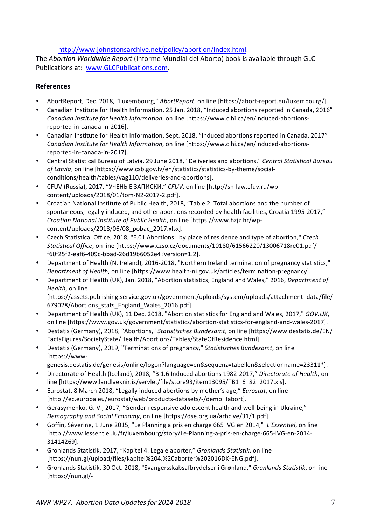http://www.johnstonsarchive.net/policy/abortion/index.html. 

The *Abortion Worldwide Report* (Informe Mundial del Aborto) book is available through GLC Publications at: www.GLCPublications.com.

## **References**

- AbortReport, Dec. 2018, "Luxembourg," AbortReport, on line [https://abort-report.eu/luxembourg/].
- Canadian Institute for Health Information, 25 Jan. 2018, "Induced abortions reported in Canada, 2016" *Canadian Institute for Health Information*, on line [https://www.cihi.ca/en/induced-abortionsreported-in-canada-in-2016].
- Canadian Institute for Health Information, Sept. 2018, "Induced abortions reported in Canada, 2017" *Canadian Institute for Health Information*, on line [https://www.cihi.ca/en/induced-abortionsreported-in-canada-in-2017].
- Central Statistical Bureau of Latvia, 29 June 2018, "Deliveries and abortions," *Central Statistical Bureau* of Latvia, on line [https://www.csb.gov.lv/en/statistics/statistics-by-theme/socialconditions/health/tables/vag110/deliveries-and-abortions].
- CFUV (Russia), 2017, "УЧЕНЫЕ ЗАПИСКИ," CFUV, on line [http://sn-law.cfuv.ru/wpcontent/uploads/2018/01/tom-N2-2017-2.pdf].
- Croatian National Institute of Public Health, 2018, "Table 2. Total abortions and the number of spontaneous, legally induced, and other abortions recorded by health facilities, Croatia 1995-2017," *Croatian National Institute of Public Health*, on line [https://www.hzjz.hr/wpcontent/uploads/2018/06/08\_pobac\_2017.xlsx].
- Czech Statistical Office, 2018, "E.01 Abortions: by place of residence and type of abortion," Czech *Statistical Office*, on line [https://www.czso.cz/documents/10180/61566220/13006718re01.pdf/ f60f25f2-eaf6-409c-bbad-26d19b6052e4?version=1.2].
- Department of Health (N. Ireland), 2016-2018, "Northern Ireland termination of pregnancy statistics," *Department of Health*, on line [https://www.health-ni.gov.uk/articles/termination-pregnancy].
- Department of Health (UK), Jan. 2018, "Abortion statistics, England and Wales," 2016, *Department of Health*, on line [https://assets.publishing.service.gov.uk/government/uploads/system/uploads/attachment\_data/file/
- 679028/Abortions\_stats\_England\_Wales\_2016.pdf]. • Department of Health (UK), 11 Dec. 2018, "Abortion statistics for England and Wales, 2017," *GOV.UK*,
- on line [https://www.gov.uk/government/statistics/abortion-statistics-for-england-and-wales-2017].
- Destatis (Germany), 2018, "Abortions," *Statistisches Bundesamt*, on line [https://www.destatis.de/EN/ FactsFigures/SocietyState/Health/Abortions/Tables/StateOfResidence.html].
- Destatis (Germany), 2019, "Terminations of pregnancy," Statistisches Bundesamt, on line [https://www
	- genesis.destatis.de/genesis/online/logon?language=en&sequenz=tabellen&selectionname=23311\*].
- Directorate of Health (Iceland), 2018, "B 1.6 Induced abortions 1982-2017," Directorate of Health, on line [https://www.landlaeknir.is/servlet/file/store93/item13095/TB1\_6\_82\_2017.xls].
- Eurostat, 8 March 2018, "Legally induced abortions by mother's age," *Eurostat*, on line [http://ec.europa.eu/eurostat/web/products-datasets/-/demo\_fabort].
- Gerasymenko, G. V., 2017, "Gender-responsive adolescent health and well-being in Ukraine," *Demography and Social Economy*, on line [https://dse.org.ua/arhcive/31/1.pdf].
- Goffin, Séverine, 1 June 2015, "Le Planning a pris en charge 665 IVG en 2014," L'Essentiel, on line [http://www.lessentiel.lu/fr/luxembourg/story/Le-Planning-a-pris-en-charge-665-IVG-en-2014- 31414269].
- Gronlands Statistik, 2017, "Kapitel 4. Legale aborter," *Gronlands Statistik*, on line [https://nun.gl/upload/files/kapitel%204.%20aborter%202016DK-ENG.pdf].
- Gronlands Statistik, 30 Oct. 2018, "Svangersskabsafbrydelser i Grønland," *Gronlands Statistik*, on line [https://nun.gl/-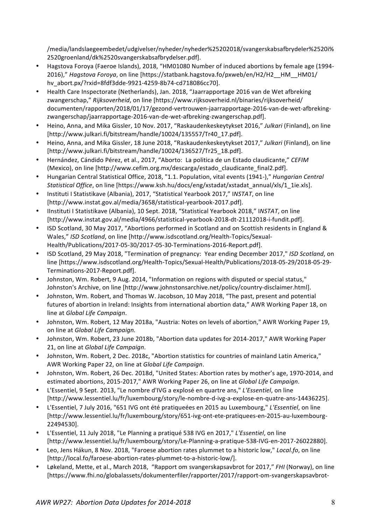/media/landslaegeembedet/udgivelser/nyheder/nyheder%25202018/svangerskabsafbrydeler%2520i% 2520groenland/dk%2520svangerskabsafbrydelser.pdf].

- Hagstova Forova (Faeroe Islands), 2018, "HM01080 Number of induced abortions by female age (1994-2016)," *Hagstova Foroya*, on line [https://statbank.hagstova.fo/pxweb/en/H2/H2\_HM\_HM01/ hv\_abort.px/?rxid=8fdf3dde-9921-4259-8b74-cd718086cc70].
- Health Care Inspectorate (Netherlands), Jan. 2018, "Jaarrapportage 2016 van de Wet afbreking zwangerschap," Rijksoverheid, on line [https://www.rijksoverheid.nl/binaries/rijksoverheid/ documenten/rapporten/2018/01/17/gezond-vertrouwen-jaarrapportage-2016-van-de-wet-afbrekingzwangerschap/jaarrapportage-2016-van-de-wet-afbreking-zwangerschap.pdf].
- Heino, Anna, and Mika Gissler, 10 Nov. 2017, "Raskaudenkeskeytykset 2016," Julkari (Finland), on line [http://www.julkari.fi/bitstream/handle/10024/135557/Tr40\_17.pdf].
- Heino, Anna, and Mika Gissler, 18 June 2018, "Raskaudenkeskeytykset 2017," Julkari (Finland), on line [http://www.julkari.fi/bitstream/handle/10024/136527/Tr25\_18.pdf].
- Hernández, Cándido Pérez, et al., 2017, "Aborto: La politica de un Estado claudicante," CEFIM (Mexico), on line [http://www.cefim.org.mx/descarga/estado\_claudicante\_final2.pdf].
- Hungarian Central Statistical Office, 2018, "1.1. Population, vital events (1941-)," *Hungarian Central* Statistical Office, on line [https://www.ksh.hu/docs/eng/xstadat/xstadat\_annual/xls/1\_1ie.xls].
- Instituti I Statistikave (Albania), 2017, "Statistical Yearbook 2017," INSTAT, on line [http://www.instat.gov.al/media/3658/statistical-yearbook-2017.pdf].
- Ilnstituti I Statistikave (Albania), 10 Sept. 2018, "Statistical Yearbook 2018," INSTAT, on line [http://www.instat.gov.al/media/4966/statistical-yearbook-2018-dt-21112018-i-fundit.pdf].
- ISD Scotland, 30 May 2017, "Abortions performed in Scotland and on Scottish residents in England & Wales," *ISD Scotland*, on line [http://www.isdscotland.org/Health-Topics/Sexual-Health/Publications/2017-05-30/2017-05-30-Terminations-2016-Report.pdf].
- ISD Scotland, 29 May 2018, "Termination of pregnancy: Year ending December 2017," *ISD Scotland*, on line [https://www.isdscotland.org/Health-Topics/Sexual-Health/Publications/2018-05-29/2018-05-29-Terminations-2017-Report.pdf].
- Johnston, Wm. Robert, 9 Aug. 2014, "Information on regions with disputed or special status," Johnston's Archive, on line [http://www.johnstonsarchive.net/policy/country-disclaimer.html].
- Johnston, Wm. Robert, and Thomas W. Jacobson, 10 May 2018, "The past, present and potential futures of abortion in Ireland: Insights from international abortion data," AWR Working Paper 18, on line at *Global Life Campaign*.
- Johnston, Wm. Robert, 12 May 2018a, "Austria: Notes on levels of abortion," AWR Working Paper 19, on line at *Global Life Campaign.*
- Johnston, Wm. Robert, 23 June 2018b, "Abortion data updates for 2014-2017," AWR Working Paper 21, on line at *Global Life Campaign*.
- Johnston, Wm. Robert, 2 Dec. 2018c, "Abortion statistics for countries of mainland Latin America," AWR Working Paper 22, on line at *Global Life Campaign*.
- Johnston, Wm. Robert, 26 Dec. 2018d, "United States: Abortion rates by mother's age, 1970-2014, and estimated abortions, 2015-2017," AWR Working Paper 26, on line at *Global Life Campaign*.
- L'Essentiel, 9 Sept. 2013, "Le nombre d'IVG a explosé en quartre ans," L'Essentiel, on line [http://www.lessentiel.lu/fr/luxembourg/story/le-nombre-d-ivg-a-explose-en-quatre-ans-14436225].
- L'Essentiel, 7 July 2016, "651 IVG ont été pratiqueées en 2015 au Luxembourg," L'Essentiel, on line [http://www.lessentiel.lu/fr/luxembourg/story/651-ivg-ont-ete-pratiquees-en-2015-au-luxembourg-22494530].
- L'Essentiel, 11 July 2018, "Le Planning a pratiqué 538 IVG en 2017," L'Essentiel, on line [http://www.lessentiel.lu/fr/luxembourg/story/Le-Planning-a-pratique-538-IVG-en-2017-26022880].
- Leo, Jens Hákun, 8 Nov. 2018. "Faroese abortion rates plummet to a historic low," *Local.fo*, on line [http://local.fo/faroese-abortion-rates-plummet-to-a-historic-low/].
- Løkeland, Mette, et al., March 2018, "Rapport om svangerskapsavbrot for 2017," *FHI* (Norway), on line [https://www.fhi.no/globalassets/dokumenterfiler/rapporter/2017/rapport-om-svangerskapsavbrot-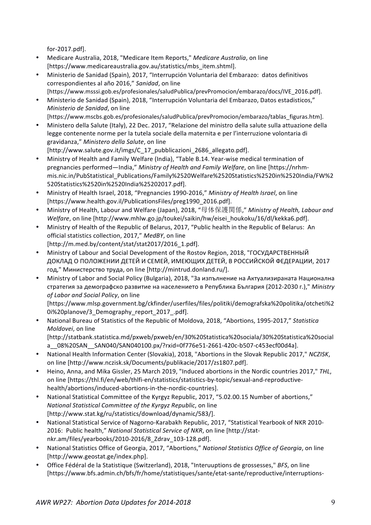for-2017.pdf].

- Medicare Australia, 2018, "Medicare Item Reports," Medicare Australia, on line [https://www.medicareaustralia.gov.au/statistics/mbs\_item.shtml].
- Ministerio de Sanidad (Spain), 2017, "Interrupción Voluntaria del Embarazo: datos definitivos correspondientes al año 2016," *Sanidad*, on line [https://www.msssi.gob.es/profesionales/saludPublica/prevPromocion/embarazo/docs/IVE\_2016.pdf].
- Ministerio de Sanidad (Spain), 2018, "Interrupción Voluntaria del Embarazo, Datos estadisticos," *Ministerio de Sanidad*, on line
	- [https://www.mscbs.gob.es/profesionales/saludPublica/prevPromocion/embarazo/tablas\_figuras.htm].
- Ministero della Salute (Italy), 22 Dec. 2017, "Relazione del ministro della salute sulla attuazione della legge contenente norme per la tutela sociale della maternita e per l'interruzione volontaria di gravidanza," *Ministero della Salute*, on line [http://www.salute.gov.it/imgs/C\_17\_pubblicazioni\_2686\_allegato.pdf].
- Ministry of Health and Family Welfare (India), "Table B.14. Year-wise medical termination of pregnancies performed—India," *Ministry of Health and Family Welfare*, on line [https://nrhmmis.nic.in/PubStatistical\_Publications/Family%2520Welfare%2520Statistics%2520in%2520India/FW%2 520Statistics%2520in%2520India%25202017.pdf].
- Ministry of Health Israel, 2018, "Pregnancies 1990-2016," *Ministry of Health Israel*, on line [https://www.health.gov.il/PublicationsFiles/preg1990\_2016.pdf].
- Ministry of Health, Labour and Welfare (Japan), 2018, "母体保護関係," *Ministry of Health, Labour and Welfare*, on line [http://www.mhlw.go.jp/toukei/saikin/hw/eisei\_houkoku/16/dl/kekka6.pdf].
- Ministry of Health of the Republic of Belarus, 2017, "Public health in the Republic of Belarus: An official statistics collection, 2017," MedBY, on line [http://m.med.by/content/stat/stat2017/2016\_1.pdf].
- Ministry of Labour and Social Development of the Rostov Region, 2018, "ГОСУДАРСТВЕННЫЙ ДОКЛАД О ПОЛОЖЕНИИ ДЕТЕЙ И СЕМЕЙ, ИМЕЮЩИХ ДЕТЕЙ, В РОССИЙСКОЙ ФЕДЕРАЦИИ, 2017 год," Министерство труда, on line [http://mintrud.donland.ru/].
- Ministry of Labor and Social Policy (Bulgaria), 2018, "За изпълнение на Актуализираната Национална стратегия за демографско развитие на населението в Република България (2012-2030 г.)," *Ministry*  of Labor and Social Policy, on line

[https://www.mlsp.government.bg/ckfinder/userfiles/files/politiki/demografska%20politika/otcheti%2 0i%20planove/3\_Demography\_report\_2017\_.pdf]. 

• National Bureau of Statistics of the Republic of Moldova, 2018, "Abortions, 1995-2017," Statistica *Moldovei*, on line

[http://statbank.statistica.md/pxweb/pxweb/en/30%20Statistica%20sociala/30%20Statistica%20social a\_\_08%20SAN\_\_SAN040/SAN040100.px/?rxid=0f776e51-2661-420c-b507-c453ecf00d4a].

- National Health Information Center (Slovakia), 2018, "Abortions in the Slovak Republic 2017," *NCZISK*, on line [http://www.nczisk.sk/Documents/publikacie/2017/zs1807.pdf].
- Heino, Anna, and Mika Gissler, 25 March 2019, "Induced abortions in the Nordic countries 2017," THL, on line [https://thl.fi/en/web/thlfi-en/statistics/statistics-by-topic/sexual-and-reproductivehealth/abortions/induced-abortions-in-the-nordic-countries].
- National Statistical Committee of the Kyrgyz Republic, 2017, "5.02.00.15 Number of abortions," *National Statistical Committee of the Kyrgyz Republic, on line* [http://www.stat.kg/ru/statistics/download/dynamic/583/].
- National Statistical Service of Nagorno-Karabakh Republic, 2017, "Statistical Yearbook of NKR 2010-2016: Public health," National Statistical Service of NKR, on line [http://statnkr.am/files/yearbooks/2010-2016/8\_Zdrav\_103-128.pdf].
- National Statistics Office of Georgia, 2017, "Abortions," National Statistics Office of Georgia, on line [http://www.geostat.ge/index.php].
- Office Fédéral de la Statistique (Switzerland), 2018, "Interuuptions de grossesses," *BFS*, on line [https://www.bfs.admin.ch/bfs/fr/home/statistiques/sante/etat-sante/reproductive/interruptions-